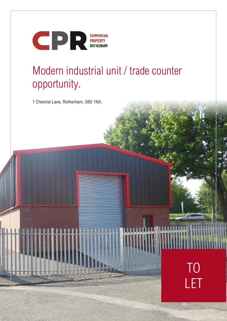

# Modern industrial unit / trade counter opportunity.

1 Chemist Lane, Rotherham, S60 1NA.



William Hallmann **THE REAL PROPERTY**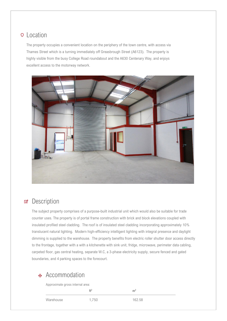#### **Q** Location

The property occupies a convenient location on the periphery of the town centre, with access via Thames Street which is a turning immediately off Greasbrough Street (A6123). The property is highly visible from the busy College Road roundabout and the A630 Centenary Way, and enjoys excellent access to the motorway network.



#### **2** Description

The subject property comprises of a purpose-built industrial unit which would also be suitable for trade counter uses. The property is of portal frame construction with brick and block elevations coupled with insulated profiled steel cladding. The roof is of insulated steel cladding incorporating approximately 10% translucent natural lighting. Modern high-efficiency intelligent lighting with integral presence and daylight dimming is supplied to the warehouse. The property benefits from electric roller shutter door access directly to the frontage, together with a with a kitchenette with sink unit, fridge, microwave, perimeter data cabling, carpeted floor, gas central heating, separate W.C, a 3-phase electricity supply, secure fenced and gated boundaries, and 4 parking spaces to the forecourt.

### **Accommodation**

Approximate gross internal area:

**ft<sup>2</sup> m<sup>2</sup>**

Warehouse 1.750 162.58